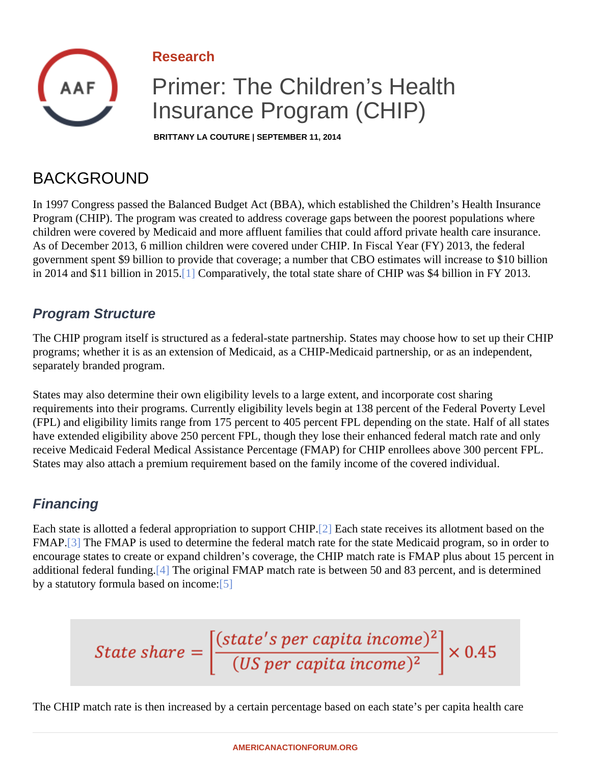<span id="page-0-0"></span>Research

# Primer: The Children's Health Insurance Program (CHIP)

BRITTANY LA COUTURE | SEPTEMBER 11, 2014

# BACKGROUND

In 1997 Congress passed the Balanced Budget Act (BBA), which established the Children's Health Insurance Program (CHIP). The program was created to address coverage gaps between the poorest populations where children were covered by Medicaid and more affluent families that could afford private health care insurance. As of December 2013, 6 million children were covered under CHIP. In Fiscal Year (FY) 2013, the federal government spent \$9 billion to provide that coverage; a number that CBO estimates will increase to \$10 billion in 2014 and \$11 billion in 201<sup>6</sup>. Comparatively, the total state share of CHIP was \$4 billion in FY 2013.

#### Program Structure

The CHIP program itself is structured as a federal-state partnership. States may choose how to set up their C programs; whether it is as an extension of Medicaid, as a CHIP-Medicaid partnership, or as an independent, separately branded program.

States may also determine their own eligibility levels to a large extent, and incorporate cost sharing requirements into their programs. Currently eligibility levels begin at 138 percent of the Federal Poverty Level (FPL) and eligibility limits range from 175 percent to 405 percent FPL depending on the state. Half of all state have extended eligibility above 250 percent FPL, though they lose their enhanced federal match rate and only receive Medicaid Federal Medical Assistance Percentage (FMAP) for CHIP enrollees above 300 percent FPL. States may also attach a premium requirement based on the family income of the covered individual.

### Financing

Each state is allotted a federal appropriation to support CHII Pach state receives its allotment based on the FMAP.<sup>[3]</sup> The FMAP is used to determine the federal match rate for the state Medicaid program, so in order to encourage states to create or expand children's coverage, the CHIP match rate is FMAP plus about 15 perce additional federal fundin $[4]$  The original FMAP match rate is between 50 and 83 percent, and is determined by a statutory formula based on income:

The CHIP match rate is then increased by a certain percentage based on each state's per capita health care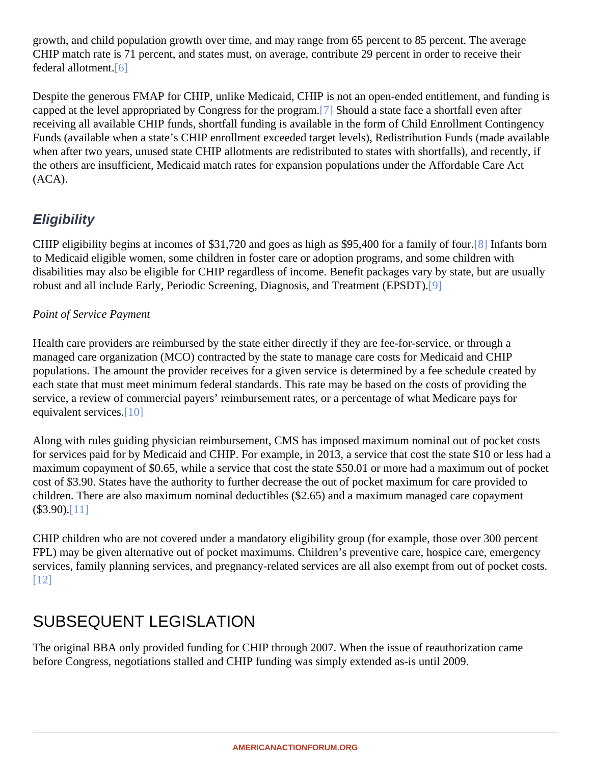growth, and child population growth over time, and may range from 65 percent to 85 percent. The average CHIP match rate is 71 percent, and states must, on average, contribute 29 percent in order to receive their federal allotmen $[6]$ 

Despite the generous FMAP for CHIP, unlike Medicaid, CHIP is not an open-ended entitlement, and funding i capped at the level appropriated by Congress for the program build a state face a shortfall even after receiving all available CHIP funds, shortfall funding is available in the form of Child Enrollment Contingency Funds (available when a state's CHIP enrollment exceeded target levels), Redistribution Funds (made availal when after two years, unused state CHIP allotments are redistributed to states with shortfalls), and recently, if the others are insufficient, Medicaid match rates for expansion populations under the Affordable Care Act (ACA).

### **Eligibility**

CHIP eligibility begins at incomes of \$31,720 and goes as high as \$95,400 for a family 61 flotants born to Medicaid eligible women, some children in foster care or adoption programs, and some children with disabilities may also be eligible for CHIP regardless of income. Benefit packages vary by state, but are usuall robust and all include Early, Periodic Screening, Diagnosis, and Treatment (EPSDT).

#### Point of Service Payment

Health care providers are reimbursed by the state either directly if they are fee-for-service, or through a managed care organization (MCO) contracted by the state to manage care costs for Medicaid and CHIP populations. The amount the provider receives for a given service is determined by a fee schedule created by each state that must meet minimum federal standards. This rate may be based on the costs of providing the service, a review of commercial payers' reimbursement rates, or a percentage of what Medicare pays for equivalent services.<sup>0]</sup>

Along with rules guiding physician reimbursement, CMS has imposed maximum nominal out of pocket costs for services paid for by Medicaid and CHIP. For example, in 2013, a service that cost the state \$10 or less ha maximum copayment of \$0.65, while a service that cost the state \$50.01 or more had a maximum out of pock cost of \$3.90. States have the authority to further decrease the out of pocket maximum for care provided to children. There are also maximum nominal deductibles (\$2.65) and a maximum managed care copayment  $($3.90)[11]$ 

CHIP children who are not covered under a mandatory eligibility group (for example, those over 300 percent FPL) may be given alternative out of pocket maximums. Children's preventive care, hospice care, emergency services, family planning services, and pregnancy-related services are all also exempt from out of pocket cos [12]

## SUBSEQUENT LEGISLATION

The original BBA only provided funding for CHIP through 2007. When the issue of reauthorization came before Congress, negotiations stalled and CHIP funding was simply extended as-is until 2009.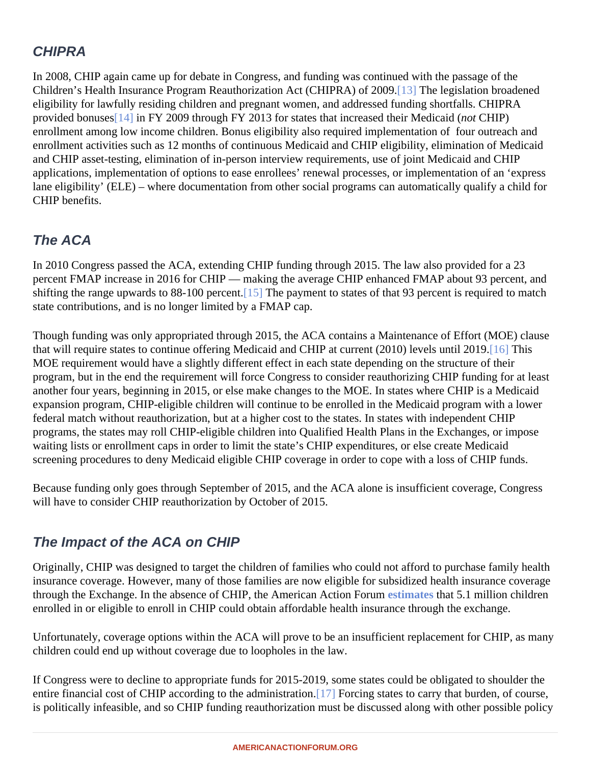### CHIPRA

In 2008, CHIP again came up for debate in Congress, and funding was continued with the passage of the Children's Health Insurance Program Reauthorization Act (CHIPRA) of 2009. The legislation broadened eligibility for lawfully residing children and pregnant women, and addressed funding shortfalls. CHIPRA provided bonuses4] in FY 2009 through FY 2013 for states that increased their Medicatic (HIP) enrollment among low income children. Bonus eligibility also required implementation of four outreach and enrollment activities such as 12 months of continuous Medicaid and CHIP eligibility, elimination of Medicaid and CHIP asset-testing, elimination of in-person interview requirements, use of joint Medicaid and CHIP applications, implementation of options to ease enrollees' renewal processes, or implementation of an 'expres lane eligibility' (ELE) – where documentation from other social programs can automatically qualify a child for CHIP benefits.

### The ACA

In 2010 Congress passed the ACA, extending CHIP funding through 2015. The law also provided for a 23 percent FMAP increase in 2016 for CHIP — making the average CHIP enhanced FMAP about 93 percent, and shifting the range upwards to 88-100 percent. The payment to states of that 93 percent is required to match state contributions, and is no longer limited by a FMAP cap.

Though funding was only appropriated through 2015, the ACA contains a Maintenance of Effort (MOE) clause that will require states to continue offering Medicaid and CHIP at current (2010) levels until 2019 is MOE requirement would have a slightly different effect in each state depending on the structure of their program, but in the end the requirement will force Congress to consider reauthorizing CHIP funding for at leas another four years, beginning in 2015, or else make changes to the MOE. In states where CHIP is a Medicaid expansion program, CHIP-eligible children will continue to be enrolled in the Medicaid program with a lower federal match without reauthorization, but at a higher cost to the states. In states with independent CHIP programs, the states may roll CHIP-eligible children into Qualified Health Plans in the Exchanges, or impose waiting lists or enrollment caps in order to limit the state's CHIP expenditures, or else create Medicaid screening procedures to deny Medicaid eligible CHIP coverage in order to cope with a loss of CHIP funds.

Because funding only goes through September of 2015, and the ACA alone is insufficient coverage, Congres will have to consider CHIP reauthorization by October of 2015.

### The Impact of the ACA on CHIP

Originally, CHIP was designed to target the children of families who could not afford to purchase family health insurance coverage. However, many of those families are now eligible for subsidized health insurance coverage through the Exchange. In the absence of CHIP, the American Action Festimates that 5.1 million children enrolled in or eligible to enroll in CHIP could obtain affordable health insurance through the exchange.

Unfortunately, coverage options within the ACA will prove to be an insufficient replacement for CHIP, as many children could end up without coverage due to loopholes in the law.

If Congress were to decline to appropriate funds for 2015-2019, some states could be obligated to shoulder th entire financial cost of CHIP according to the administration. Forcing states to carry that burden, of course, is politically infeasible, and so CHIP funding reauthorization must be discussed along with other possible poli